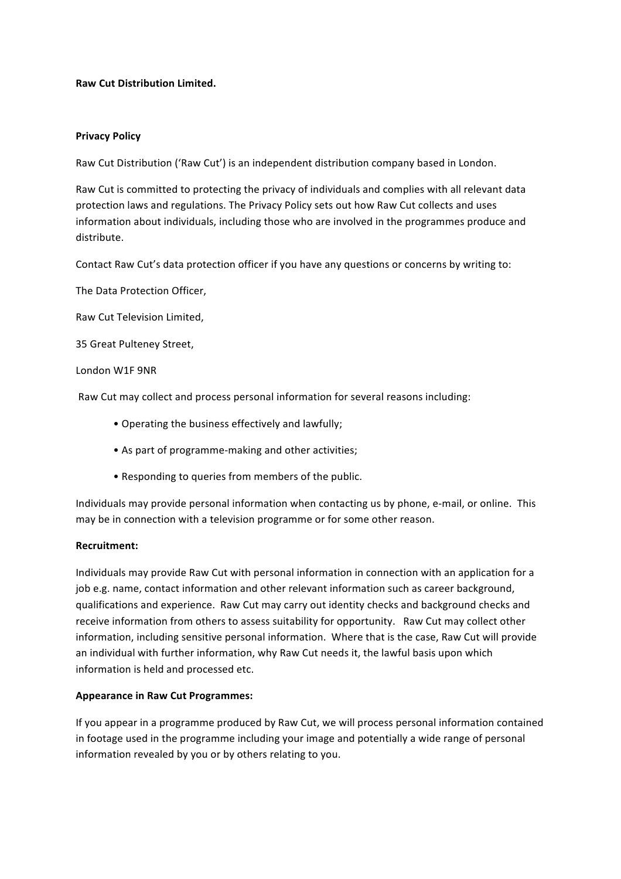## **Raw Cut Distribution Limited.**

### **Privacy Policy**

Raw Cut Distribution ('Raw Cut') is an independent distribution company based in London.

Raw Cut is committed to protecting the privacy of individuals and complies with all relevant data protection laws and regulations. The Privacy Policy sets out how Raw Cut collects and uses information about individuals, including those who are involved in the programmes produce and distribute. 

Contact Raw Cut's data protection officer if you have any questions or concerns by writing to:

The Data Protection Officer,

Raw Cut Television Limited, 

35 Great Pulteney Street,

#### London W1F 9NR

Raw Cut may collect and process personal information for several reasons including:

- Operating the business effectively and lawfully;
- As part of programme-making and other activities;
- Responding to queries from members of the public.

Individuals may provide personal information when contacting us by phone, e-mail, or online. This may be in connection with a television programme or for some other reason.

### **Recruitment:**

Individuals may provide Raw Cut with personal information in connection with an application for a job e.g. name, contact information and other relevant information such as career background, qualifications and experience. Raw Cut may carry out identity checks and background checks and receive information from others to assess suitability for opportunity. Raw Cut may collect other information, including sensitive personal information. Where that is the case, Raw Cut will provide an individual with further information, why Raw Cut needs it, the lawful basis upon which information is held and processed etc.

## **Appearance in Raw Cut Programmes:**

If you appear in a programme produced by Raw Cut, we will process personal information contained in footage used in the programme including your image and potentially a wide range of personal information revealed by you or by others relating to you.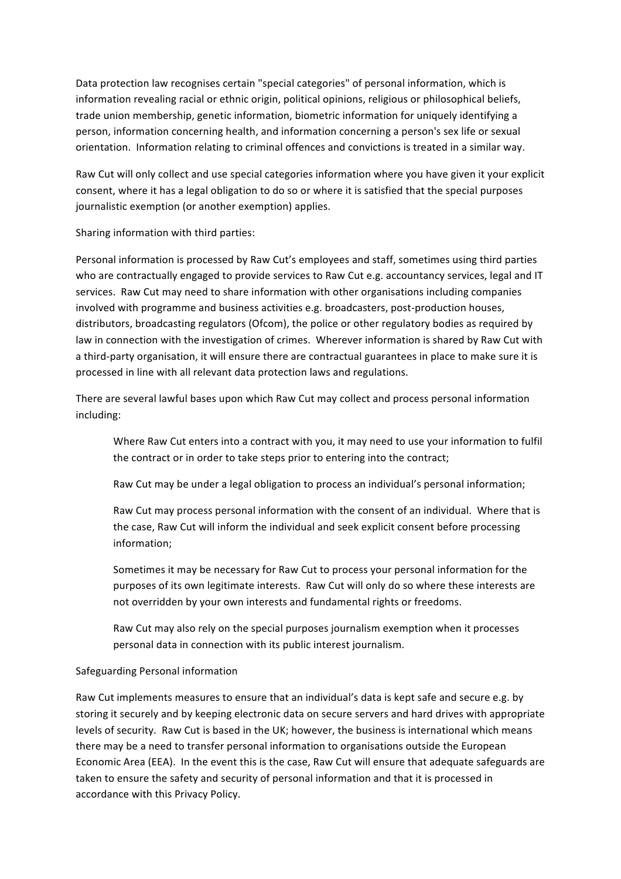Data protection law recognises certain "special categories" of personal information, which is information revealing racial or ethnic origin, political opinions, religious or philosophical beliefs, trade union membership, genetic information, biometric information for uniquely identifying a person, information concerning health, and information concerning a person's sex life or sexual orientation. Information relating to criminal offences and convictions is treated in a similar way.

Raw Cut will only collect and use special categories information where you have given it your explicit consent, where it has a legal obligation to do so or where it is satisfied that the special purposes journalistic exemption (or another exemption) applies.

Sharing information with third parties:

Personal information is processed by Raw Cut's employees and staff, sometimes using third parties who are contractually engaged to provide services to Raw Cut e.g. accountancy services, legal and IT services. Raw Cut may need to share information with other organisations including companies involved with programme and business activities e.g. broadcasters, post-production houses, distributors, broadcasting regulators (Ofcom), the police or other regulatory bodies as required by law in connection with the investigation of crimes. Wherever information is shared by Raw Cut with a third-party organisation, it will ensure there are contractual guarantees in place to make sure it is processed in line with all relevant data protection laws and regulations.

There are several lawful bases upon which Raw Cut may collect and process personal information including: 

Where Raw Cut enters into a contract with you, it may need to use your information to fulfil the contract or in order to take steps prior to entering into the contract;

Raw Cut may be under a legal obligation to process an individual's personal information;

Raw Cut may process personal information with the consent of an individual. Where that is the case, Raw Cut will inform the individual and seek explicit consent before processing information;

Sometimes it may be necessary for Raw Cut to process your personal information for the purposes of its own legitimate interests. Raw Cut will only do so where these interests are not overridden by your own interests and fundamental rights or freedoms.

Raw Cut may also rely on the special purposes journalism exemption when it processes personal data in connection with its public interest journalism.

## Safeguarding Personal information

Raw Cut implements measures to ensure that an individual's data is kept safe and secure e.g. by storing it securely and by keeping electronic data on secure servers and hard drives with appropriate levels of security. Raw Cut is based in the UK; however, the business is international which means there may be a need to transfer personal information to organisations outside the European Economic Area (EEA). In the event this is the case, Raw Cut will ensure that adequate safeguards are taken to ensure the safety and security of personal information and that it is processed in accordance with this Privacy Policy.